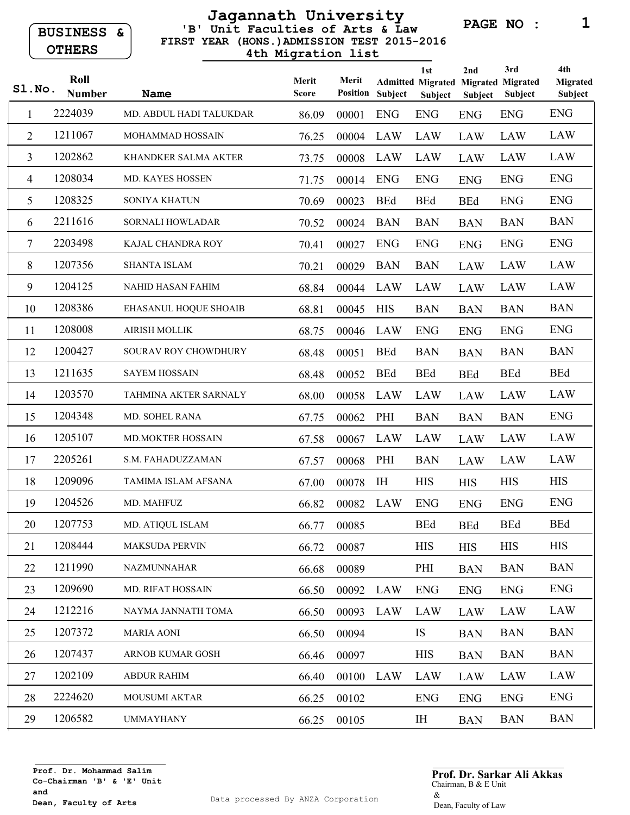**BUSINESS & OTHERS** 

## **FIRST YEAR (HONS.)ADMISSION TEST 2015-2016 'B' Unit Faculties of Arts & Law Jagannath University 4th Migration list**

**PAGE NO : 1**

| SLNO.          | Roll<br><b>Number</b> | <b>Name</b>              | Merit<br><b>Score</b> | Merit<br><b>Position</b> | Subject    | 1st<br><b>Admitted Migrated Migrated Migrated</b><br>Subject | 2nd<br><b>Subject</b> | 3rd<br><b>Subject</b> | 4th<br><b>Migrated</b><br><b>Subject</b> |
|----------------|-----------------------|--------------------------|-----------------------|--------------------------|------------|--------------------------------------------------------------|-----------------------|-----------------------|------------------------------------------|
| 1              | 2224039               | MD. ABDUL HADI TALUKDAR  | 86.09                 | 00001                    | <b>ENG</b> | <b>ENG</b>                                                   | <b>ENG</b>            | <b>ENG</b>            | <b>ENG</b>                               |
| 2              | 1211067               | MOHAMMAD HOSSAIN         | 76.25                 | 00004                    | LAW        | LAW                                                          | <b>LAW</b>            | LAW                   | LAW                                      |
| $\overline{3}$ | 1202862               | KHANDKER SALMA AKTER     | 73.75                 | 00008                    | LAW        | LAW                                                          | <b>LAW</b>            | LAW                   | LAW                                      |
| 4              | 1208034               | <b>MD. KAYES HOSSEN</b>  | 71.75                 | 00014                    | <b>ENG</b> | <b>ENG</b>                                                   | <b>ENG</b>            | <b>ENG</b>            | <b>ENG</b>                               |
| 5              | 1208325               | SONIYA KHATUN            | 70.69                 | 00023                    | <b>BEd</b> | <b>BEd</b>                                                   | <b>BEd</b>            | <b>ENG</b>            | <b>ENG</b>                               |
| 6              | 2211616               | <b>SORNALI HOWLADAR</b>  | 70.52                 | 00024                    | <b>BAN</b> | <b>BAN</b>                                                   | <b>BAN</b>            | <b>BAN</b>            | <b>BAN</b>                               |
| 7              | 2203498               | KAJAL CHANDRA ROY        | 70.41                 | 00027                    | <b>ENG</b> | <b>ENG</b>                                                   | <b>ENG</b>            | <b>ENG</b>            | <b>ENG</b>                               |
| 8              | 1207356               | <b>SHANTA ISLAM</b>      | 70.21                 | 00029                    | <b>BAN</b> | <b>BAN</b>                                                   | <b>LAW</b>            | <b>LAW</b>            | <b>LAW</b>                               |
| 9              | 1204125               | NAHID HASAN FAHIM        | 68.84                 | 00044                    | LAW        | LAW                                                          | <b>LAW</b>            | <b>LAW</b>            | <b>LAW</b>                               |
| 10             | 1208386               | EHASANUL HOQUE SHOAIB    | 68.81                 | 00045                    | <b>HIS</b> | <b>BAN</b>                                                   | <b>BAN</b>            | <b>BAN</b>            | <b>BAN</b>                               |
| 11             | 1208008               | <b>AIRISH MOLLIK</b>     | 68.75                 | 00046                    | LAW        | <b>ENG</b>                                                   | <b>ENG</b>            | <b>ENG</b>            | <b>ENG</b>                               |
| 12             | 1200427               | SOURAV ROY CHOWDHURY     | 68.48                 | 00051                    | <b>BEd</b> | <b>BAN</b>                                                   | <b>BAN</b>            | <b>BAN</b>            | <b>BAN</b>                               |
| 13             | 1211635               | <b>SAYEM HOSSAIN</b>     | 68.48                 | 00052                    | <b>BEd</b> | <b>BEd</b>                                                   | <b>BEd</b>            | <b>BEd</b>            | <b>BEd</b>                               |
| 14             | 1203570               | TAHMINA AKTER SARNALY    | 68.00                 | 00058                    | LAW        | LAW                                                          | <b>LAW</b>            | LAW                   | LAW                                      |
| 15             | 1204348               | MD. SOHEL RANA           | 67.75                 | 00062                    | PHI        | <b>BAN</b>                                                   | <b>BAN</b>            | <b>BAN</b>            | <b>ENG</b>                               |
| 16             | 1205107               | <b>MD.MOKTER HOSSAIN</b> | 67.58                 | 00067                    | LAW        | LAW                                                          | <b>LAW</b>            | <b>LAW</b>            | LAW                                      |
| 17             | 2205261               | S.M. FAHADUZZAMAN        | 67.57                 | 00068                    | PHI        | <b>BAN</b>                                                   | <b>LAW</b>            | <b>LAW</b>            | LAW                                      |
| 18             | 1209096               | TAMIMA ISLAM AFSANA      | 67.00                 | 00078                    | IH         | <b>HIS</b>                                                   | <b>HIS</b>            | <b>HIS</b>            | <b>HIS</b>                               |
| 19             | 1204526               | MD. MAHFUZ               | 66.82                 | 00082                    | LAW        | <b>ENG</b>                                                   | <b>ENG</b>            | <b>ENG</b>            | <b>ENG</b>                               |
| 20             | 1207753               | MD. ATIQUL ISLAM         | 66.77                 | 00085                    |            | <b>BEd</b>                                                   | <b>BEd</b>            | <b>BEd</b>            | <b>BEd</b>                               |
| 21             | 1208444               | <b>MAKSUDA PERVIN</b>    | 66.72                 | 00087                    |            | <b>HIS</b>                                                   | <b>HIS</b>            | <b>HIS</b>            | <b>HIS</b>                               |
| 22             | 1211990               | NAZMUNNAHAR              | 66.68                 | 00089                    |            | PHI                                                          | <b>BAN</b>            | <b>BAN</b>            | <b>BAN</b>                               |
| 23             | 1209690               | MD. RIFAT HOSSAIN        | 66.50                 | 00092 LAW                |            | <b>ENG</b>                                                   | <b>ENG</b>            | <b>ENG</b>            | <b>ENG</b>                               |
| 24             | 1212216               | NAYMA JANNATH TOMA       | 66.50                 | 00093 LAW                |            | LAW                                                          | LAW                   | LAW                   | LAW                                      |
| 25             | 1207372               | <b>MARIA AONI</b>        | 66.50                 | 00094                    |            | IS                                                           | <b>BAN</b>            | <b>BAN</b>            | <b>BAN</b>                               |
| 26             | 1207437               | <b>ARNOB KUMAR GOSH</b>  | 66.46                 | 00097                    |            | <b>HIS</b>                                                   | <b>BAN</b>            | <b>BAN</b>            | <b>BAN</b>                               |
| 27             | 1202109               | <b>ABDUR RAHIM</b>       | 66.40                 | 00100 LAW                |            | LAW                                                          | <b>LAW</b>            | LAW                   | LAW                                      |
| 28             | 2224620               | <b>MOUSUMI AKTAR</b>     | 66.25                 | 00102                    |            | <b>ENG</b>                                                   | <b>ENG</b>            | <b>ENG</b>            | <b>ENG</b>                               |
| 29             | 1206582               | <b>UMMAYHANY</b>         | 66.25                 | 00105                    |            | IH                                                           | <b>BAN</b>            | <b>BAN</b>            | <b>BAN</b>                               |

## Chairman, B & E Unit & Dean, Faculty of Law **Prof. Dr. Sarkar Ali Akkas**